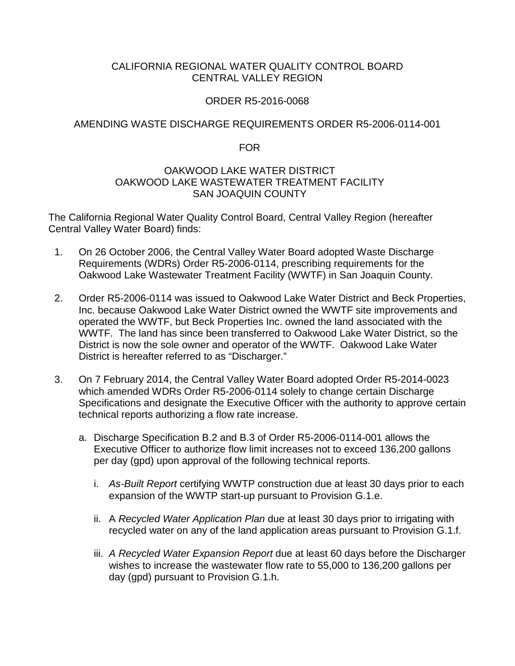## CALIFORNIA REGIONAL WATER QUALITY CONTROL BOARD CENTRAL VALLEY REGION

## ORDER R5-2016-0068

## AMENDING WASTE DISCHARGE REQUIREMENTS ORDER R5-2006-0114-001

FOR

#### OAKWOOD LAKE WATER DISTRICT OAKWOOD LAKE WASTEWATER TREATMENT FACILITY SAN JOAQUIN COUNTY

The California Regional Water Quality Control Board, Central Valley Region (hereafter Central Valley Water Board) finds:

- 1. On 26 October 2006, the Central Valley Water Board adopted Waste Discharge Requirements (WDRs) Order R5-2006-0114, prescribing requirements for the Oakwood Lake Wastewater Treatment Facility (WWTF) in San Joaquin County.
- 2. Order R5-2006-0114 was issued to Oakwood Lake Water District and Beck Properties, Inc. because Oakwood Lake Water District owned the WWTF site improvements and operated the WWTF, but Beck Properties Inc. owned the land associated with the WWTF. The land has since been transferred to Oakwood Lake Water District, so the District is now the sole owner and operator of the WWTF. Oakwood Lake Water District is hereafter referred to as "Discharger."
- 3. On 7 February 2014, the Central Valley Water Board adopted Order R5-2014-0023 which amended WDRs Order R5-2006-0114 solely to change certain Discharge Specifications and designate the Executive Officer with the authority to approve certain technical reports authorizing a flow rate increase.
	- a. Discharge Specification B.2 and B.3 of Order R5-2006-0114-001 allows the Executive Officer to authorize flow limit increases not to exceed 136,200 gallons per day (gpd) upon approval of the following technical reports.
		- i. *As-Built Report* certifying WWTP construction due at least 30 days prior to each expansion of the WWTP start-up pursuant to Provision G.1.e.
		- ii. A *Recycled Water Application Plan* due at least 30 days prior to irrigating with recycled water on any of the land application areas pursuant to Provision G.1.f.
		- iii. *A Recycled Water Expansion Report* due at least 60 days before the Discharger wishes to increase the wastewater flow rate to 55,000 to 136,200 gallons per day (gpd) pursuant to Provision G.1.h.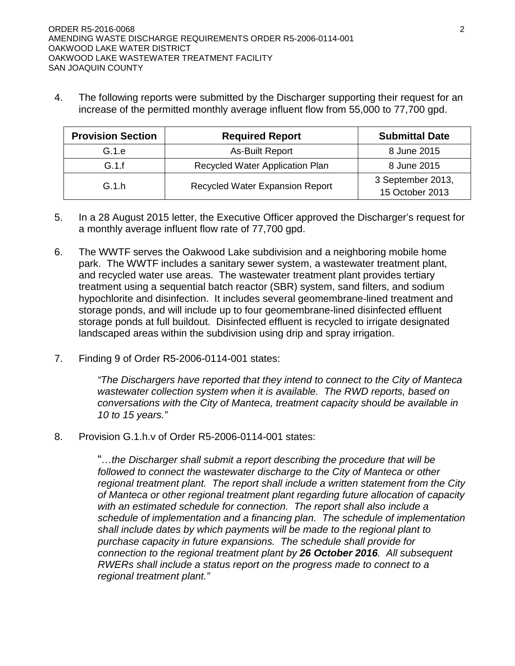4. The following reports were submitted by the Discharger supporting their request for an increase of the permitted monthly average influent flow from 55,000 to 77,700 gpd.

| <b>Provision Section</b> | <b>Required Report</b>                 | <b>Submittal Date</b>                |
|--------------------------|----------------------------------------|--------------------------------------|
| G.1.e                    | <b>As-Built Report</b>                 | 8 June 2015                          |
| G.1.f                    | Recycled Water Application Plan        | 8 June 2015                          |
| G.1h                     | <b>Recycled Water Expansion Report</b> | 3 September 2013,<br>15 October 2013 |

- 5. In a 28 August 2015 letter, the Executive Officer approved the Discharger's request for a monthly average influent flow rate of 77,700 gpd.
- 6. The WWTF serves the Oakwood Lake subdivision and a neighboring mobile home park. The WWTF includes a sanitary sewer system, a wastewater treatment plant, and recycled water use areas. The wastewater treatment plant provides tertiary treatment using a sequential batch reactor (SBR) system, sand filters, and sodium hypochlorite and disinfection. It includes several geomembrane-lined treatment and storage ponds, and will include up to four geomembrane-lined disinfected effluent storage ponds at full buildout. Disinfected effluent is recycled to irrigate designated landscaped areas within the subdivision using drip and spray irrigation.
- 7. Finding 9 of Order R5-2006-0114-001 states:

*"The Dischargers have reported that they intend to connect to the City of Manteca wastewater collection system when it is available. The RWD reports, based on conversations with the City of Manteca, treatment capacity should be available in 10 to 15 years."*

8. Provision G.1.h.v of Order R5-2006-0114-001 states:

"*…the Discharger shall submit a report describing the procedure that will be followed to connect the wastewater discharge to the City of Manteca or other regional treatment plant. The report shall include a written statement from the City of Manteca or other regional treatment plant regarding future allocation of capacity with an estimated schedule for connection. The report shall also include a schedule of implementation and a financing plan. The schedule of implementation shall include dates by which payments will be made to the regional plant to purchase capacity in future expansions. The schedule shall provide for connection to the regional treatment plant by 26 October 2016. All subsequent RWERs shall include a status report on the progress made to connect to a regional treatment plant."*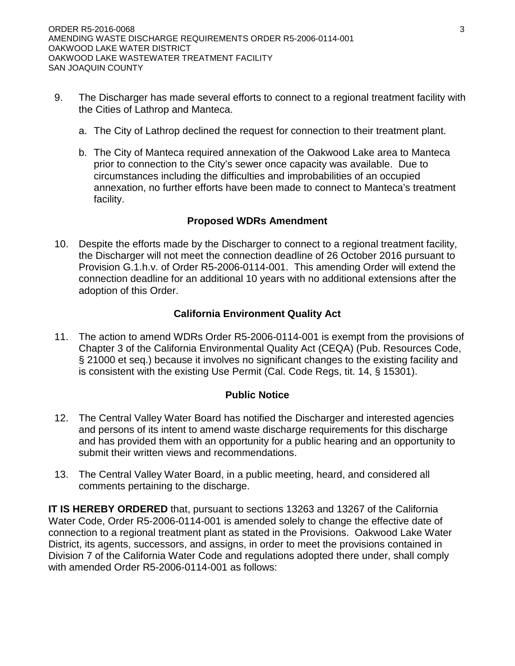- 9. The Discharger has made several efforts to connect to a regional treatment facility with the Cities of Lathrop and Manteca.
	- a. The City of Lathrop declined the request for connection to their treatment plant.
	- b. The City of Manteca required annexation of the Oakwood Lake area to Manteca prior to connection to the City's sewer once capacity was available. Due to circumstances including the difficulties and improbabilities of an occupied annexation, no further efforts have been made to connect to Manteca's treatment facility.

# **Proposed WDRs Amendment**

10. Despite the efforts made by the Discharger to connect to a regional treatment facility, the Discharger will not meet the connection deadline of 26 October 2016 pursuant to Provision G.1.h.v. of Order R5-2006-0114-001. This amending Order will extend the connection deadline for an additional 10 years with no additional extensions after the adoption of this Order.

# **California Environment Quality Act**

11. The action to amend WDRs Order R5-2006-0114-001 is exempt from the provisions of Chapter 3 of the California Environmental Quality Act (CEQA) (Pub. Resources Code, § 21000 et seq.) because it involves no significant changes to the existing facility and is consistent with the existing Use Permit (Cal. Code Regs, tit. 14, § 15301).

## **Public Notice**

- 12. The Central Valley Water Board has notified the Discharger and interested agencies and persons of its intent to amend waste discharge requirements for this discharge and has provided them with an opportunity for a public hearing and an opportunity to submit their written views and recommendations.
- 13. The Central Valley Water Board, in a public meeting, heard, and considered all comments pertaining to the discharge.

**IT IS HEREBY ORDERED** that, pursuant to sections 13263 and 13267 of the California Water Code, Order R5-2006-0114-001 is amended solely to change the effective date of connection to a regional treatment plant as stated in the Provisions. Oakwood Lake Water District, its agents, successors, and assigns, in order to meet the provisions contained in Division 7 of the California Water Code and regulations adopted there under, shall comply with amended Order R5-2006-0114-001 as follows: